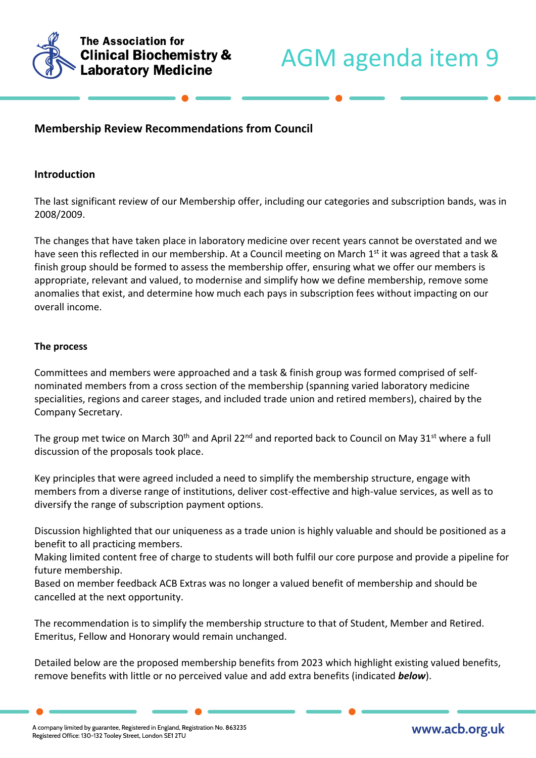

# **Membership Review Recommendations from Council**

# **Introduction**

The last significant review of our Membership offer, including our categories and subscription bands, was in 2008/2009.

The changes that have taken place in laboratory medicine over recent years cannot be overstated and we have seen this reflected in our membership. At a Council meeting on March 1<sup>st</sup> it was agreed that a task & finish group should be formed to assess the membership offer, ensuring what we offer our members is appropriate, relevant and valued, to modernise and simplify how we define membership, remove some anomalies that exist, and determine how much each pays in subscription fees without impacting on our overall income.

## **The process**

Committees and members were approached and a task & finish group was formed comprised of selfnominated members from a cross section of the membership (spanning varied laboratory medicine specialities, regions and career stages, and included trade union and retired members), chaired by the Company Secretary.

The group met twice on March 30<sup>th</sup> and April 22<sup>nd</sup> and reported back to Council on May 31<sup>st</sup> where a full discussion of the proposals took place.

Key principles that were agreed included a need to simplify the membership structure, engage with members from a diverse range of institutions, deliver cost-effective and high-value services, as well as to diversify the range of subscription payment options.

Discussion highlighted that our uniqueness as a trade union is highly valuable and should be positioned as a benefit to all practicing members.

Making limited content free of charge to students will both fulfil our core purpose and provide a pipeline for future membership.

Based on member feedback ACB Extras was no longer a valued benefit of membership and should be cancelled at the next opportunity.

The recommendation is to simplify the membership structure to that of Student, Member and Retired. Emeritus, Fellow and Honorary would remain unchanged.

Detailed below are the proposed membership benefits from 2023 which highlight existing valued benefits, remove benefits with little or no perceived value and add extra benefits (indicated *below*).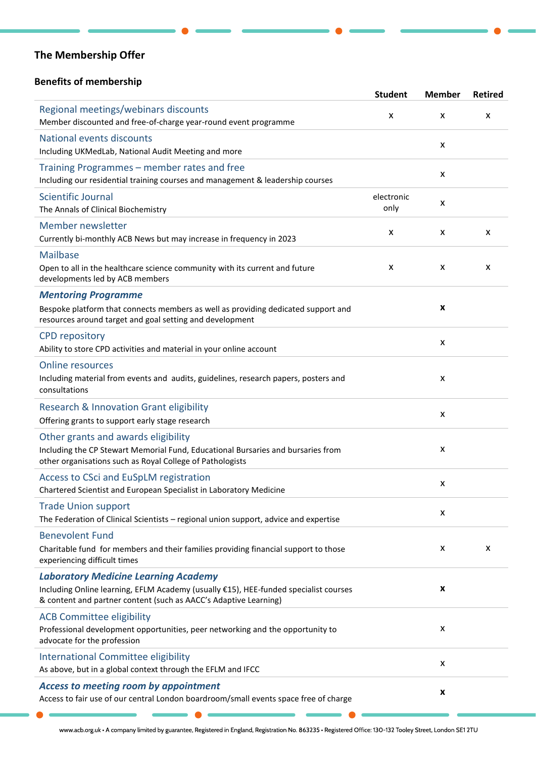# **The Membership Offer**

# **Benefits of membership**

|                                                                                                                                                                                                         | <b>Student</b>     | <b>Member</b>  | <b>Retired</b> |
|---------------------------------------------------------------------------------------------------------------------------------------------------------------------------------------------------------|--------------------|----------------|----------------|
| Regional meetings/webinars discounts<br>Member discounted and free-of-charge year-round event programme                                                                                                 | X                  | X              | X              |
| National events discounts<br>Including UKMedLab, National Audit Meeting and more                                                                                                                        |                    | X              |                |
| Training Programmes – member rates and free<br>Including our residential training courses and management & leadership courses                                                                           |                    | X              |                |
| Scientific Journal<br>The Annals of Clinical Biochemistry                                                                                                                                               | electronic<br>only | $\pmb{\times}$ |                |
| Member newsletter<br>Currently bi-monthly ACB News but may increase in frequency in 2023                                                                                                                | X                  | X              | X              |
| <b>Mailbase</b><br>Open to all in the healthcare science community with its current and future<br>developments led by ACB members                                                                       | X                  | X              | X              |
| <b>Mentoring Programme</b><br>Bespoke platform that connects members as well as providing dedicated support and<br>resources around target and goal setting and development                             |                    | X              |                |
| <b>CPD repository</b><br>Ability to store CPD activities and material in your online account                                                                                                            |                    | X              |                |
| <b>Online resources</b><br>Including material from events and audits, guidelines, research papers, posters and<br>consultations                                                                         |                    | X              |                |
| Research & Innovation Grant eligibility<br>Offering grants to support early stage research                                                                                                              |                    | X              |                |
| Other grants and awards eligibility<br>Including the CP Stewart Memorial Fund, Educational Bursaries and bursaries from<br>other organisations such as Royal College of Pathologists                    |                    | x              |                |
| Access to CSci and EuSpLM registration<br>Chartered Scientist and European Specialist in Laboratory Medicine                                                                                            |                    | X              |                |
| <b>Trade Union support</b><br>The Federation of Clinical Scientists - regional union support, advice and expertise                                                                                      |                    | X              |                |
| <b>Benevolent Fund</b><br>Charitable fund for members and their families providing financial support to those<br>experiencing difficult times                                                           |                    | X              | X              |
| <b>Laboratory Medicine Learning Academy</b><br>Including Online learning, EFLM Academy (usually €15), HEE-funded specialist courses<br>& content and partner content (such as AACC's Adaptive Learning) |                    | X              |                |
| <b>ACB Committee eligibility</b><br>Professional development opportunities, peer networking and the opportunity to<br>advocate for the profession                                                       |                    | x              |                |
| International Committee eligibility<br>As above, but in a global context through the EFLM and IFCC                                                                                                      |                    | X              |                |
| <b>Access to meeting room by appointment</b><br>Access to fair use of our central London boardroom/small events space free of charge                                                                    |                    | X              |                |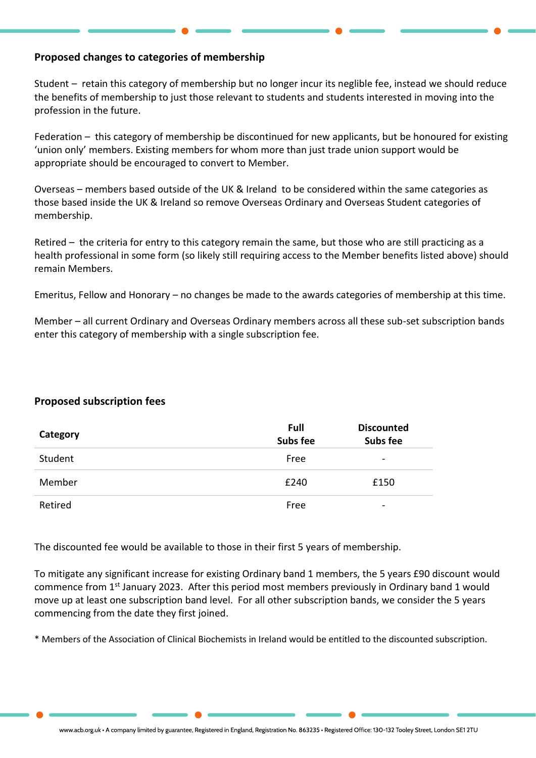# **Proposed changes to categories of membership**

Student – retain this category of membership but no longer incur its neglible fee, instead we should reduce the benefits of membership to just those relevant to students and students interested in moving into the profession in the future.

Federation – this category of membership be discontinued for new applicants, but be honoured for existing 'union only' members. Existing members for whom more than just trade union support would be appropriate should be encouraged to convert to Member.

Overseas – members based outside of the UK & Ireland to be considered within the same categories as those based inside the UK & Ireland so remove Overseas Ordinary and Overseas Student categories of membership.

Retired – the criteria for entry to this category remain the same, but those who are still practicing as a health professional in some form (so likely still requiring access to the Member benefits listed above) should remain Members.

Emeritus, Fellow and Honorary – no changes be made to the awards categories of membership at this time.

Member – all current Ordinary and Overseas Ordinary members across all these sub-set subscription bands enter this category of membership with a single subscription fee.

## **Proposed subscription fees**

| Category | Full<br>Subs fee | <b>Discounted</b><br><b>Subs fee</b> |
|----------|------------------|--------------------------------------|
| Student  | Free             | $\overline{\phantom{0}}$             |
| Member   | £240             | £150                                 |
| Retired  | Free             | -                                    |

The discounted fee would be available to those in their first 5 years of membership.

To mitigate any significant increase for existing Ordinary band 1 members, the 5 years £90 discount would commence from 1st January 2023. After this period most members previously in Ordinary band 1 would move up at least one subscription band level. For all other subscription bands, we consider the 5 years commencing from the date they first joined.

\* Members of the Association of Clinical Biochemists in Ireland would be entitled to the discounted subscription.